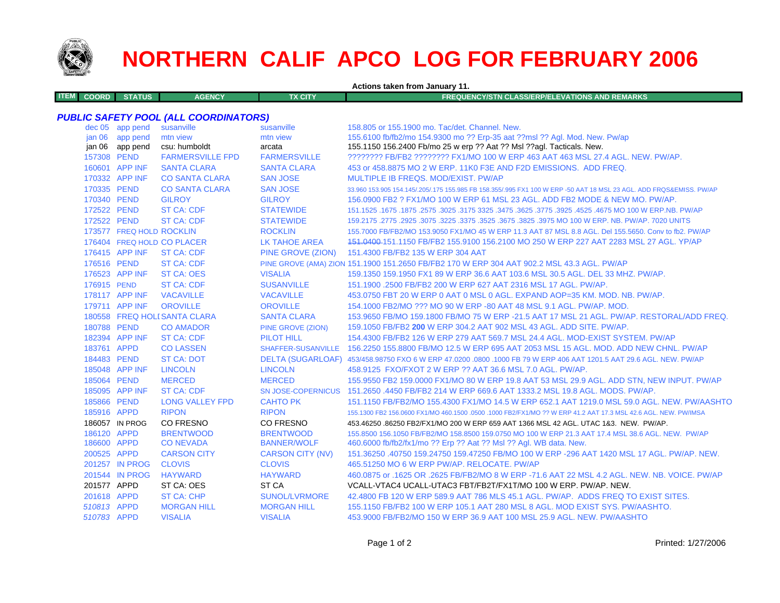

**ITEM**

# **NORTHERN CALIF APCO LOG FOR FEBRUARY 2006**

**Actions taken from January 11.**

**COORD STATUS AGENCY TX CITY FREQUENCY/STN CLASS/ERP/ELEVATIONS AND REMARKS**

## *PUBLIC SAFETY POOL (ALL COORDINATORS)*

|             | dec 05 app pend          | susanville                   | susanville              | 158,805 or 155,1900 mo. Tac/det, Channel, New.                                                                      |
|-------------|--------------------------|------------------------------|-------------------------|---------------------------------------------------------------------------------------------------------------------|
|             | jan 06 app pend          | mtn view                     | mtn view                | 155.6100 fb/fb2/mo 154.9300 mo ?? Erp-35 aat ??msl ?? Agl. Mod. New. Pw/ap                                          |
|             | jan 06 app pend          | csu: humboldt                | arcata                  | 155.1150 156.2400 Fb/mo 25 w erp ?? Aat ?? Msl ??agl. Tacticals. New.                                               |
| 157308 PEND |                          | <b>FARMERSVILLE FPD</b>      | <b>FARMERSVILLE</b>     | ???????? FB/FB2 ???????? FX1/MO 100 W ERP 463 AAT 463 MSL 27.4 AGL, NEW, PW/AP,                                     |
|             | 160601 APP INF           | <b>SANTA CLARA</b>           | <b>SANTA CLARA</b>      | 453 or 458,8875 MO 2 W ERP, 11K0 F3E AND F2D EMISSIONS. ADD FREQ.                                                   |
|             | 170332 APP INF           | <b>CO SANTA CLARA</b>        | <b>SAN JOSE</b>         | MULTIPLE IB FREQS, MOD/EXIST, PW/AP                                                                                 |
| 170335 PEND |                          | <b>CO SANTA CLARA</b>        | <b>SAN JOSE</b>         | 33.960 153.905 154.145/.205/.175 155.985 FB 158.355/.995 FX1 100 W ERP -50 AAT 18 MSL 23 AGL. ADD FRQS&EMISS. PW/AP |
| 170340 PEND |                          | <b>GILROY</b>                | <b>GILROY</b>           | 156.0900 FB2 ? FX1/MO 100 W ERP 61 MSL 23 AGL. ADD FB2 MODE & NEW MO. PW/AP.                                        |
| 172522 PEND |                          | <b>ST CA: CDF</b>            | <b>STATEWIDE</b>        | 151.1525 .1675 NO 100 W ERP.NB. PW/AP .3175 3325 .3475 .3625 .3775 3325 .4675 .3025 .1675 .1675 .167                |
| 172522 PEND |                          | <b>ST CA: CDF</b>            | <b>STATEWIDE</b>        | 159,2175, 2775 .2925 .3075 .3225 .3375 .3525 .3675 .3825 .3975 MO 100 W ERP, NB, PW/AP, 7020 UNITS                  |
|             | 173577 FREQ HOLD ROCKLIN |                              | <b>ROCKLIN</b>          | 155.7000 FB/FB2/MO 153.9050 FX1/MO 45 W ERP 11.3 AAT 87 MSL 8.8 AGL. Del 155.5650. Conv to fb2. PW/AP               |
|             |                          | 176404 FREQ HOLD CO PLACER   | <b>LK TAHOE AREA</b>    | 151.0400-151.1150 FB/FB2 155.9100 156.2100 MO 250 W ERP 227 AAT 2283 MSL 27 AGL. YP/AP                              |
|             | 176415 APP INF           | <b>ST CA: CDF</b>            | PINE GROVE (ZION)       | 151,4300 FB/FB2 135 W ERP 304 AAT                                                                                   |
| 176516 PEND |                          | <b>ST CA: CDF</b>            |                         | PINE GROVE (AMA) ZION 151.1900 151.2650 FB/FB2 170 W ERP 304 AAT 902.2 MSL 43.3 AGL. PW/AP                          |
|             | 176523 APP INF           | <b>ST CA: OES</b>            | <b>VISALIA</b>          | 159.1350 159.1950 FX1 89 W ERP 36.6 AAT 103.6 MSL 30.5 AGL, DEL 33 MHZ, PW/AP.                                      |
| 176915 PEND |                          | <b>ST CA: CDF</b>            | <b>SUSANVILLE</b>       | 151.1900 .2500 FB/FB2 200 W ERP 627 AAT 2316 MSL 17 AGL, PW/AP.                                                     |
|             | 178117 APP INF           | <b>VACAVILLE</b>             | <b>VACAVILLE</b>        | 453.0750 FBT 20 W ERP 0 AAT 0 MSL 0 AGL. EXPAND AOP=35 KM, MOD, NB, PW/AP.                                          |
|             | 179711 APP INF           | <b>OROVILLE</b>              | <b>OROVILLE</b>         | 154,1000 FB2/MO ??? MO 90 W ERP -80 AAT 48 MSL 9.1 AGL, PW/AP, MOD.                                                 |
|             |                          | 180558 FREQ HOLI SANTA CLARA | <b>SANTA CLARA</b>      | 153.9650 FB/MO 159.1800 FB/MO 75 W ERP -21.5 AAT 17 MSL 21 AGL, PW/AP, RESTORAL/ADD FREQ.                           |
| 180788 PEND |                          | <b>CO AMADOR</b>             | PINE GROVE (ZION)       | 159.1050 FB/FB2 200 W ERP 304.2 AAT 902 MSL 43 AGL, ADD SITE, PW/AP.                                                |
|             | 182394 APP INF           | <b>ST CA: CDF</b>            | <b>PILOT HILL</b>       | 154.4300 FB/FB2 126 W ERP 279 AAT 569.7 MSL 24.4 AGL, MOD-EXIST SYSTEM, PW/AP                                       |
| 183761 APPD |                          | <b>CO LASSEN</b>             |                         | SHAFFER-SUSANVILLE 156.2250 155.8800 FB/MO 12.5 W ERP 695 AAT 2053 MSL 15 AGL, MOD, ADD NEW CHNL, PW/AP             |
| 184483 PEND |                          | <b>ST CA: DOT</b>            |                         | DELTA (SUGARLOAF) 453/458.98750 FXO 6 W ERP 47.0200 .0800 .1000 FB 79 W ERP 406 AAT 1201.5 AAT 29.6 AGL. NEW. PW/AP |
|             | 185048 APP INF           | <b>LINCOLN</b>               | <b>LINCOLN</b>          | 458.9125 FXO/FXOT 2 W ERP ?? AAT 36.6 MSL 7.0 AGL. PW/AP.                                                           |
| 185064 PEND |                          | <b>MERCED</b>                | <b>MERCED</b>           | 155.9550 FB2 159.0000 FX1/MO 80 W ERP 19.8 AAT 53 MSL 29.9 AGL. ADD STN, NEW INPUT. PW/AP                           |
|             | 185095 APP INF           | <b>ST CA: CDF</b>            |                         | SN JOSE-COPERNICUS 151,2650,4450 FB/FB2 214 W ERP 669.6 AAT 1333.2 MSL 19.8 AGL, MODS, PW/AP.                       |
| 185866 PEND |                          | <b>LONG VALLEY FPD</b>       | <b>CAHTO PK</b>         | 151.1150 FB/FB2/MO 155.4300 FX1/MO 14.5 W ERP 652.1 AAT 1219.0 MSL 59.0 AGL, NEW, PW/AASHTO                         |
| 185916 APPD |                          | <b>RIPON</b>                 | <b>RIPON</b>            | 155,1300 FB2 156,0600 FX1/MO 460,1500 ,0500 ,1000 FB2/FX1/MO ?? W ERP 41.2 AAT 17.3 MSL 42.6 AGL, NEW, PW/IMSA      |
|             | 186057 IN PROG           | <b>CO FRESNO</b>             | CO FRESNO               | 453.46250 .86250 FB2/FX1/MO 200 W ERP 659 AAT 1366 MSL 42 AGL, UTAC 1&3, NEW, PW/AP,                                |
| 186120 APPD |                          | <b>BRENTWOOD</b>             | <b>BRENTWOOD</b>        | 155.8500 156.1050 FB/FB2/MO 158.8500 159.0750 MO 100 W ERP 21.3 AAT 17.4 MSL 38.6 AGL, NEW. PW/AP                   |
| 186600 APPD |                          | <b>CONEVADA</b>              | <b>BANNER/WOLF</b>      | 460.6000 fb/fb2/fx1/mo ?? Erp ?? Aat ?? Msl ?? Agl. WB data. New.                                                   |
| 200525 APPD |                          | <b>CARSON CITY</b>           | <b>CARSON CITY (NV)</b> | 151.36250 .40750 159.24750 159.47250 FB/MO 100 W ERP -296 AAT 1420 MSL 17 AGL, PW/AP, NEW.                          |
|             | 201257 IN PROG           | <b>CLOVIS</b>                | <b>CLOVIS</b>           | 465.51250 MO 6 W ERP PW/AP, RELOCATE, PW/AP                                                                         |
|             | 201544 IN PROG           | <b>HAYWARD</b>               | <b>HAYWARD</b>          | 460.0875 or .1625 OR .2625 FB/FB2/MO 8 W ERP -71.6 AAT 22 MSL 4.2 AGL, NEW, NB, VOICE, PW/AP                        |
| 201577 APPD |                          | ST CA: OES                   | ST <sub>CA</sub>        | VCALL-VTAC4 UCALL-UTAC3 FBT/FB2T/FX1T/MO 100 W ERP. PW/AP. NEW.                                                     |
| 201618 APPD |                          | <b>ST CA: CHP</b>            | <b>SUNOL/LVRMORE</b>    | 42.4800 FB 120 W ERP 589.9 AAT 786 MLS 45.1 AGL, PW/AP, ADDS FREQ TO EXIST SITES.                                   |
| 510813 APPD |                          | <b>MORGAN HILL</b>           | <b>MORGAN HILL</b>      | 155,1150 FB/FB2 100 W ERP 105,1 AAT 280 MSL 8 AGL, MOD EXIST SYS, PW/AASHTO.                                        |
| 510783 APPD |                          | <b>VISALIA</b>               | <b>VISALIA</b>          | 453,9000 FB/FB2/MO 150 W ERP 36.9 AAT 100 MSL 25.9 AGL, NEW, PW/AASHTO                                              |